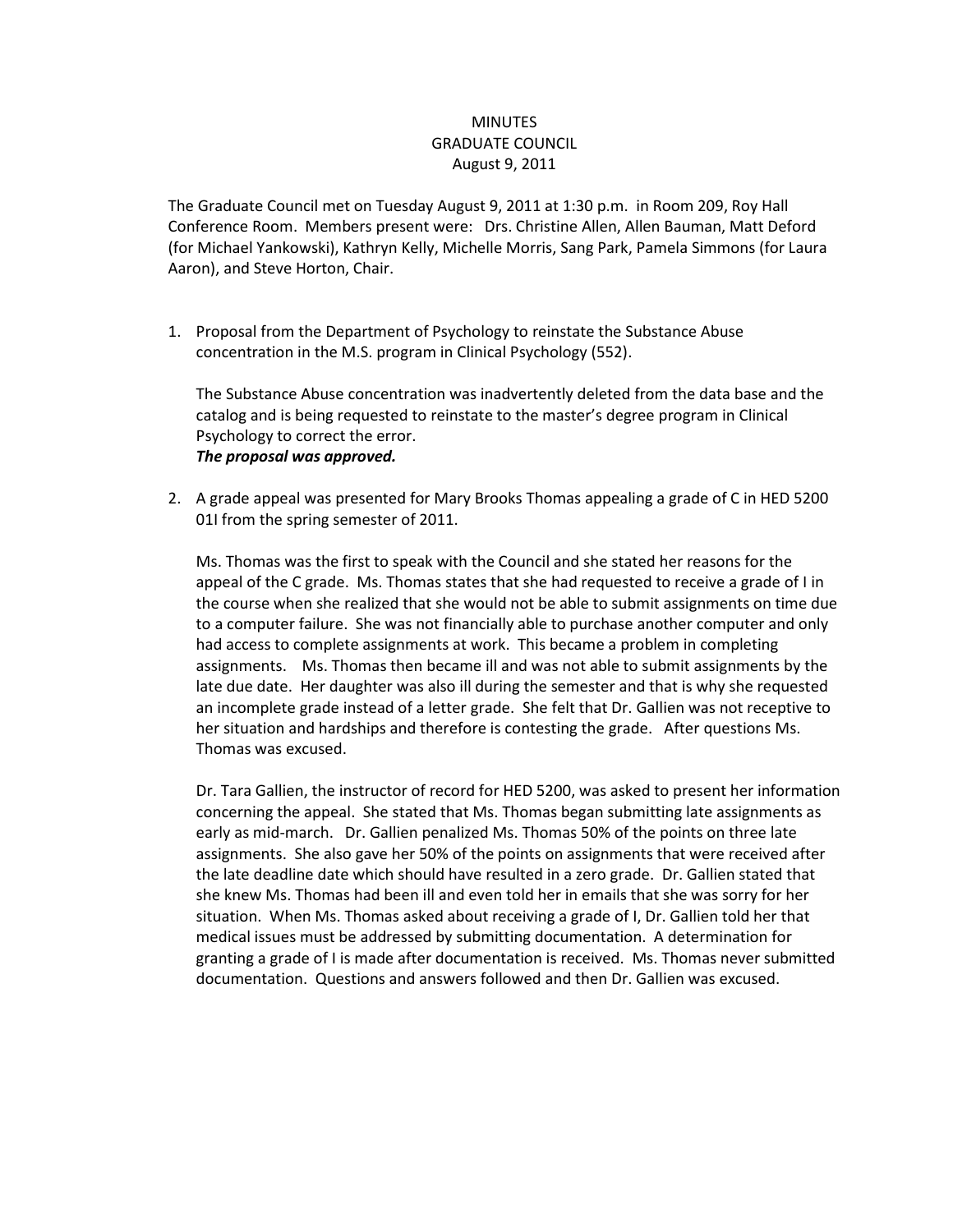## **MINUTES** GRADUATE COUNCIL August 9, 2011

The Graduate Council met on Tuesday August 9, 2011 at 1:30 p.m. in Room 209, Roy Hall Conference Room. Members present were: Drs. Christine Allen, Allen Bauman, Matt Deford (for Michael Yankowski), Kathryn Kelly, Michelle Morris, Sang Park, Pamela Simmons (for Laura Aaron), and Steve Horton, Chair.

1. Proposal from the Department of Psychology to reinstate the Substance Abuse concentration in the M.S. program in Clinical Psychology (552).

The Substance Abuse concentration was inadvertently deleted from the data base and the catalog and is being requested to reinstate to the master's degree program in Clinical Psychology to correct the error. *The proposal was approved.*

2. A grade appeal was presented for Mary Brooks Thomas appealing a grade of C in HED 5200 01I from the spring semester of 2011.

Ms. Thomas was the first to speak with the Council and she stated her reasons for the appeal of the C grade. Ms. Thomas states that she had requested to receive a grade of I in the course when she realized that she would not be able to submit assignments on time due to a computer failure. She was not financially able to purchase another computer and only had access to complete assignments at work. This became a problem in completing assignments. Ms. Thomas then became ill and was not able to submit assignments by the late due date. Her daughter was also ill during the semester and that is why she requested an incomplete grade instead of a letter grade. She felt that Dr. Gallien was not receptive to her situation and hardships and therefore is contesting the grade. After questions Ms. Thomas was excused.

Dr. Tara Gallien, the instructor of record for HED 5200, was asked to present her information concerning the appeal. She stated that Ms. Thomas began submitting late assignments as early as mid-march. Dr. Gallien penalized Ms. Thomas 50% of the points on three late assignments. She also gave her 50% of the points on assignments that were received after the late deadline date which should have resulted in a zero grade. Dr. Gallien stated that she knew Ms. Thomas had been ill and even told her in emails that she was sorry for her situation. When Ms. Thomas asked about receiving a grade of I, Dr. Gallien told her that medical issues must be addressed by submitting documentation. A determination for granting a grade of I is made after documentation is received. Ms. Thomas never submitted documentation. Questions and answers followed and then Dr. Gallien was excused.